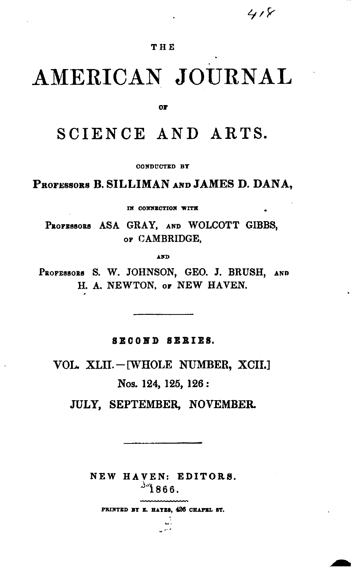$418$ 

### **THE**

# **AMERICAN JOURNAL**

01'

# SCIENCE AND ARTS.

OONDUCTED BY

PROFESSORS B.SILLIMAN AND JAMES D. DANA,

IN CONNECTION WITH

PROFESSORS ASA GRAY, AND WOLCOTT GIBBS, OF CAMBRIDGE,

AND

PROFESSORS S. W. JOHNSON, GEO. J. BRUSH, AND H. A. NEWTON. or NEW HAVEN.

SECOND SERIES.

VOL. XLII.-[WHOLE NUMBER, XCII.]

Nos. 124, 125, 126:

JULY, SEPTEMBER, NOVEMBER.

NEW BA VEN: EDITORS.  $^{34}$ 1866.

PRINTED BY E. HAYES, 426 CHAPEL ST.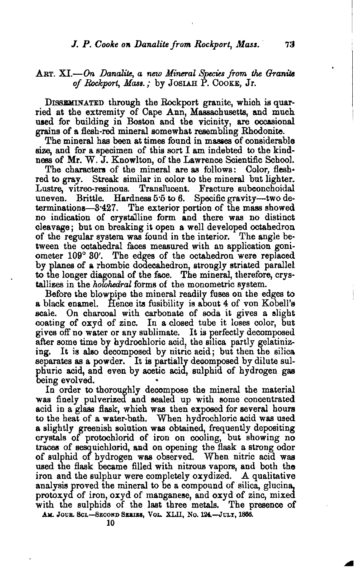#### ART. XI.—On Danalite, a new Mineral Species from the Granite *of &c7cport, Mass.;* by JOSlAH P. COOKE, Jr.

DISSEMINATED through the Rockport granite, which is quarried at the extremity of Cape Ann, Massachusetts, and much used for building in Boston and the vicinity, are occasional grains of a flesh-red mineral somewhat resembling Rhodonite.

The mineral has been at times found in masaes of considerable size, and for a specimen of this sort I am indebted to the kindness of Mr. W. J. Knowlton, of the Lawrence Scientific School.

The characters of the mineral are as follows: Color, fleshred to gray. Streak similar in color to the mineral but lighter. Lustre, vitreo-resinous. Translucent. Fracture subconchoidal uneven. Brittle. Hardness 5.5 to 6. Specific gravity-two determinations-3.427. The exterior portion of the mass showed The exterior portion of the mass showed no indication of crystalline form and there was no distinct cleavage; but on breaking it open a well developed octahedron of the regular system was found in the interior. The angle between the octahedral faces measured with an application goniometer 109° 30'. The edges of the octahedron were replaced by planes of a rhombic dodecahedron, strongly striated parallel to the longer diagonal of the face. The mineral, therefore, crystallizes in the *holohedral* forms of the monometric system.

Before the blowpipe the mineral readily fuses on the edges to a black enamel. Hence its fusibility is about 4 of von Kobell's scale. On charcoal with carbonate of soda it gives a slight coating of oxyd of zinc. In a closed tube it loses color, but gives off no water or any sublimate. It is perfectly decomposed after some time by hydrochloric acid, the silica partly gelatinizing. It is also decomposed by nitric acid; but then the silica separates as a powder. It is partially decomposed by dilute sulphuric acid, and even by acetic acid, sulphid of hydrogen gas

In order to thoroughly decompose the mineral the material was finely pulverized and sealed up with some concentrated acid in a glass flask, which was then exposed for several hours to the heat of a water-bath. When hydrochloric acid was used a slightly greenish solution was obtained, frequently depositing crystals of protochlorid of iron on cooling, but showing no traces of sesquichlorid, and on opening the flask a strong odor of sulphid of hydrogen was observed. When nitric acid was used the flask became filled with nitrous vapors, and both the iron and the sulphur were completely oxydized. A qualitative analysis proved the mineral to be a compound of silica, glucina, protoxyd of iron, oxyd of manganese, and oxyd of zinc, mixed with the sulphids of the last three metals. The presence of AM. JOUR. SCL-SECOND SERIES, VOL. XLII, No. 124.-JULY, 1866.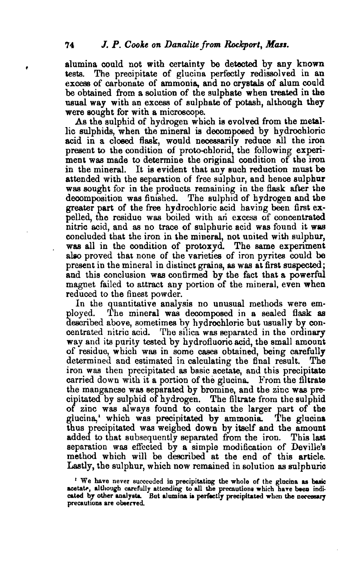alumina could not with certainty be detected by any known tests. The precipitate of glucina perfectly redissolved in an excess of carbonate of ammonia, and no crystals of alum could be obtained from a solution of the sulphate when treated in the usual way with an excess of sulphate of potash, although they were sought for with a microscope.

As the sulphid of hydrogen which is evolved from the metallic sulphids, when the mineral is decomposed by hydrochloric acid in a closed flask, would necessarily reduce all the iron present to the condition of proto-chlorid, the following experiment was made to determine the original condition of the iron in the mineral. It is evident that any such reduction must be attended with the separation of free sulphur, and hence sulphur was sought for in the products remaining in the flask after the decomposition was finished. The sulphid of hydrogen and the greater part of the free hydrochloric acid having been first expelled, the residue was boiled with an excess of concentrated nitric acid, and as no trace of sulphuric acid was found it was concluded that the iron in the mineral, not united with sulphur, was all in the condition of protoxyd. The same experiment also proved that none of the varieties of iron pyrites could be present in the mineral in distinct grains, as was at first suspected; and this conclusion was confirmed by the fact that a powerful magnet failed to attract any portion of the mineral, even when reduced to the finest powder.

In the quantitative analysis no unusual methods were em-<br>ployed. The mineral was decomposed in a sealed flask as The mineral was decomposed in a sealed flask as described above, sometimes by hydrochloric but usually by con· centrated nitric acid. The silica was separated in the ordinary way and its purity tested by hydrofluoric acid, the small amount of residue, which was in some cases obtained, being carefully determined and estimated in calculating the final result. The iron was then precipitated as basic acetate, and this precipitate carried down with it a portion of the glucina. From the filtrate the manganese was separated by bromine, and the zinc was precipitated by sulpbid of hydrogen. The filtrate from the sulphid of zinc was always found to contain the larger part of the glucina, which was precipitated by ammonia. The glucina glucina, which was precipitated by ammonia. thus precipitated was weighed down by itself and the amount added to that subsequently separated from the iron. This last separation was effected by a simple modification of Deville's method which will be described at the end of this article. Lastly, the sulphur, which now remained in solution as sulphuric

<sup>&#</sup>x27; We have never succeeded in precipitating the whole of the glucina as basic acetate, although carefully attending to all the precautions which have been indicated by other analysts. But alumina is perfectly precipitated when the necessary precautions are observed.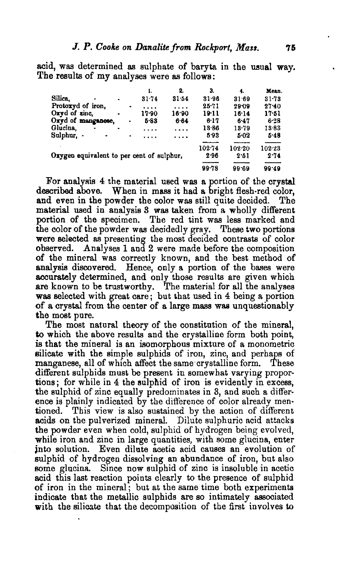acid, was determined as sulphate of baryta in the usual way. The results of my analyses were as follows:

|                                           |                    |                | ı.             | 2.    | 3.        | 4.        | Mean.           |
|-------------------------------------------|--------------------|----------------|----------------|-------|-----------|-----------|-----------------|
| Silica.<br>٠                              | ٠                  |                | 31.74          | 31.54 | 31.96     | 31.69     | 31.73           |
| Protoxyd of iron,                         |                    | ۰              | .              | .     | $25 - 71$ | $29 - 09$ | $27 - 40$       |
| Oxyd of zinc.                             |                    |                | 17.90          | 16.90 | $19-11$   | 16.14     | $17 - 51$       |
| Oxyd of manganese,                        |                    | ٠              | 5.83           | 6.64  | 6-17      | 647       | $6 - 28$        |
| Glucina,<br>۰                             |                    |                | .              | .     | 13.86     | 13.79     | 13.83           |
| Sulphur, -<br>٠                           |                    | ۰              | .              | .     | 593       | $5 - 02$  | 5.48            |
| Oxygen equivalent to per cent of sulphur, | $102 - 74$<br>2.96 | 102.20<br>2.51 | 102-23<br>2.74 |       |           |           |                 |
|                                           |                    |                |                |       | $99 - 78$ | 99.69     | $\sim$<br>99.49 |

For analysis 4 the material used was a portion of the crystal described above. When in mass it had a bright flesh-red color, and even in the powder the color was still quite decided, The material used in analysis 3 was taken from a wholly different portion of the specimen. The red tint was less marked and the color of the powder was decidedly gray. These two portions were selected as presenting the most decided contrasts of color observed. Analyses 1 and 2 were made before the composition of the mineral was correctly known, and the best method of analysis discovered. Hence, only a portion of the bases were accurately determined, and only those results are given which are known to be trustworthy. The material for all the analyses was selected with great care; but that used in 4 being a portion of a crystal from the center of a large mass was unquestionably the most pure.

The most natural theory of the constitution of the mineral, to which the above results and the crystalline form both point, is that the mineral is an isomorphous mixture of a monometric silicate with the simple sulphids of iron, zinc, and perhaps of manganese, all of which affect the same crystalline form. These different sulphids must be present in somewhat varying proportions; for while in 4 the sulphid of iron is evidently in excess, the sulphid of zinc equally predominates in 3, and such a difference is plainly indicated by the difference of color already mentioned. This view is also sustained by the action of different acids on the pulverized mineral. Dilute sulphuric acid attacks the powder even when cold, sulphid of hydrogen being evolved, while iron and zinc in large quantities, with some glucina, enter into solution. Even dilute acetic acid causes an evolution of sulphid of hydrogen dissolving an abundance of iron, but also BOrne glucina. Since now sulphid of zinc is insoluble in acetic acid this last reaction points clearly to the presence of sulphid of iron in the mineral; but at the same time both experiments indicate that the metallic suIphids are so intimately associated with the silicate that the decomposition of the first involves to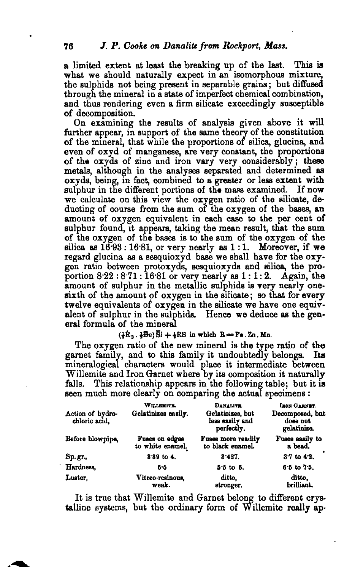a limited extent at least the breaking up of the last. This is what we should naturally expect in an isomorphous mixture, the sulphids not being present in separable grains; but diffused through the mineral in a state of imperfect chemical combination, and thus rendering even a firm silicate exceedingly susceptible of decomposition.

On examining the results of analysis given above it will further appear, in support of the same theory of the constitution of the mineral, that while the proportions of silica, glucina, and even of oxyd of mangsnese, are very constant, the proportions of the oxyds of zinc and iron vary very considerably; these metals, although in the analyses separated and determined as oxyds, being, in fact, combined to a greater or less extent with sulphur in the different portions of the mass examined. If now we calculate on this view the oxygen ratio of the silicate, deducting of course from the sum of the oxygen of the bases, an amount of oxygen equivalent in each case to the per cent of sulphur found, it appears, taking the mean result, that the sum of the oxygen of the bases is to the sum of the  $oxygen$  of the silica as  $16.93:16.81$ , or very nearly as 1:1. Moreover, if we regard glucina as a sesquioxyd base we shall have for the oxygen ratio between protoxyds, sesquioxyds and silica, the pro- portion  $8.22:8.71:16.81$  or very nearly as  $1:1:2$ . Again, the amount of sulphur in the metallic sulphids is very nearly onesixth of the amount of oxygen in the silicate; so that for every twelve equivalents of oxygen in the silicate we have one equivalent of sulphur in the sulphids. Hence we deduce as the general formula of the mineral

 $(\frac{1}{2}R_1, \frac{1}{2}Be)\overline{Si} + \frac{1}{2}RS$  in which  $R = Fe$ . Zn. Mn.

The oxygen ratio of the new mineral is the type ratio of the garnet family, and to this family it undoubtedly belongs. Its mineralogical charaoters would place it intermediate between Willemite and Iron Garnet where by its composition it naturally falls. This relationship appears in the following table; but it is seen much more clearly on comparing the actual specimens:

| Action of hydro-<br>chloric acid. | WILLEMITE.<br>Gelatinizes easily.  | DANALITE.<br>Gelatinizes, but<br>less easily and<br>perfectly. | <b>LEON GARNET.</b><br>Decomposed, but<br>does not<br>gelatinize. |  |  |
|-----------------------------------|------------------------------------|----------------------------------------------------------------|-------------------------------------------------------------------|--|--|
| Before blowpipe,                  | Fuses on edges<br>to white enamel. | Fuses more readily<br>to black enamel.                         | Fuses easily to<br>a bead.                                        |  |  |
| Sp.gr.,                           | $8.89$ to 4.                       | 8.427.                                                         | $3.7$ to $4.2$ .                                                  |  |  |
| Hardness,                         | 5.5                                | $5.5 \text{ to } 6.$                                           | $6.5$ to $7.5$ .                                                  |  |  |
| Luster.                           | Vitreo-resinous.<br>weak.          | ditto.<br>stronger.                                            | ditto.<br>brilliant                                               |  |  |

It is true that Willemite and Garnet belong to different orystalline systems, but the ordinary form of Willemite really ap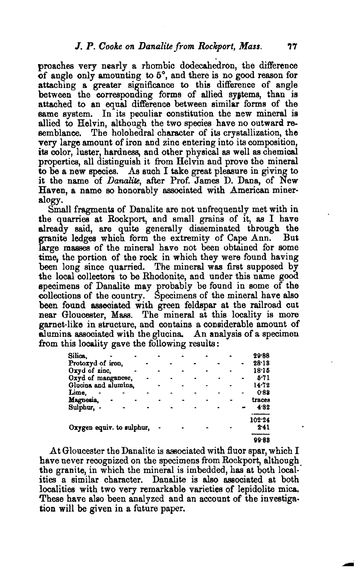proaches very nearly a rhombic dodecahedron, the difference of angle only amounting to 5°, and there is no good reason for attaching a greater significance to this difference of angle between the corresponding forms of allied systems, than is attached to an equal difference between similar forms of the same system. In its peculiar constitution the new mineral is allied to Helvin, although the two species have no outward resemblance. The holohedral character of its crystallization, the very large amount of iron and zinc entering into its composition, its color, luster, hardness, and other physical as well as chemical properties, all distinguish it from Heivin and prove the mineral to be a new species. As such I take great pleasure in giving to it the name of *Danalite,* after Prof. James D. Dana, of New Haven, a name so honorably associated with American mineralogy.

Small fragments of Danalite are not unfrequently met with in the quarries at Rockport, and small grains of it, as I have already said, are quite generally disseminated through the granite ledges which form the extremity of Cape Ann. But large masses of the mineral have not been obtained for some time, the portion of the rock in which they were found having been long since quarried. The mineral was first supposed by the local collectors to be Rhodonite, and under this name good specimens of Danalite may probably be found in some of the collections of the country. Specimens of the mineral have also been found associated with green feldspar at the railroad cut near Gloucester, Mass, The mineral at this locality is more garnet·like in structure, and contains a considerable amount of alumina associated with the glucina. An analysis of a specimen from this locality gave the following results:

| Silica.                   |  |  |  |  |  |  |      | 29.88  |
|---------------------------|--|--|--|--|--|--|------|--------|
| Protoxyd of iron,         |  |  |  |  |  |  |      | 28.13  |
| Oxyd of zinc,             |  |  |  |  |  |  |      | 18.15  |
| Oxyd of manganese,        |  |  |  |  |  |  |      | 5.71   |
| Glucina and alumina,      |  |  |  |  |  |  |      | 14.72  |
| Lime.                     |  |  |  |  |  |  |      | 0.83   |
| Magnesia,                 |  |  |  |  |  |  |      | traces |
| Sulphur, -                |  |  |  |  |  |  |      | 4.82   |
|                           |  |  |  |  |  |  |      | 102.24 |
| Oxygen equiv. to sulphur, |  |  |  |  |  |  | 2.41 |        |
|                           |  |  |  |  |  |  |      | 99.88  |

At Gloucester the Danalite is associated with fluor spar, which  $I$ have never recognized on the specimens from Rockport, although the granite, in which the mineral is imbedded, has at both local· ities a similar character. Danalite is also associated at both localities with two very remarkable varieties of lepidolite mica. These have also been analyzed and an account of the investigation will be given in a future paper.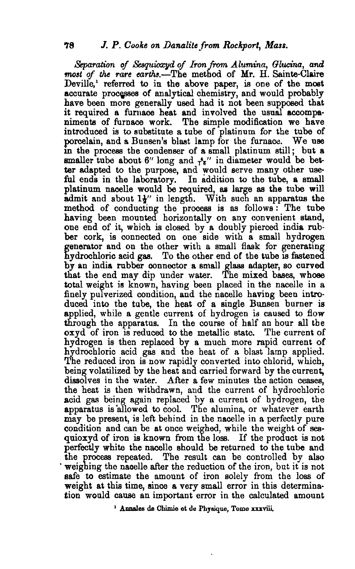*Separation of &8quioxyd of Iron* from *Alumina, Glucina,* and *most* of the rare earths.—The method of Mr. H. Sainte-Claire Deville,' referred to in the above paper, is one of the most accurate processes of analytical chemistry, and would probably have been more generally used had it not been supposed that it required a furnace heat and involved the usual accompaniments of furnace work. The simple modification we have introduced is to substitute a tube of platinum for the tube of porcelain, and a Bunsen's blast lamp for the furnace. We use in the process the condenser of a small platinum still; but a smaller tube about 6" long and  $r_{\pi}$ " in diameter would be better adapted to the purpose, and would serve many other useful ends in the laboratory. In addition to the tube, a small platinum nacelle would be required, as large as the tube will admit and about  $1\frac{1}{4}$ " in length. With such an apparatus the method of conducting the process is as follows: The tube having been mounted horizontally on any convenient stand, one end of it, which is closed by a doubly pierced india rubber cork, is connected on one side with a small hydrogen generator and on the other with a small flask for generating hydrochloric acid gas, To the other end of the tube is fastened by an india rubber connector a small glass adapter, so curved that the end may dip under water. The mixed bases, whose total weight is known, having been placed in the nacelle in a finely pulverized condition, and the nacelle having been introduced into the tube, the heat of a single Bunsen burner is applied, while a gentle current of hydrogen is caused to flow through the apparatus. In the course of half an hour all the oxyd of iron is reduced to the metallic state. The current of hydrogen is then replaced by a much more rapid current of hydrochloric acid gas and the heat of a blast lamp applied. The reduced iron is now rapidly converted into chlorid, which, being volatilized by the heat and carried forward by the current, dissolves in the water. After a few minutes the action ceases, the heat is then withdrawn, and the current of hydrochloric acid gas being again replaced by a current of hydrogen, the apparatus is 'allowed to cool. The alumina, or whatever earth may be present, is left behind in the nacelle in a perfectly pure condition and can be at once weighed, while the weight of sea· quioxyd of iron is known from the loss. If the product is not perfectly white the nacelle should be returned to the tube and the process repeated. The result can be controlled by also weighing the nacelle after the reduction of the iron, but it is not safe to estimate the amount of iron solely from the 1088 of weight at this time, since a very small error in this determination would cause an important error in the calculated amount

<sup>1</sup> Annales de Chimie et de Physique, Tome xxxviii.